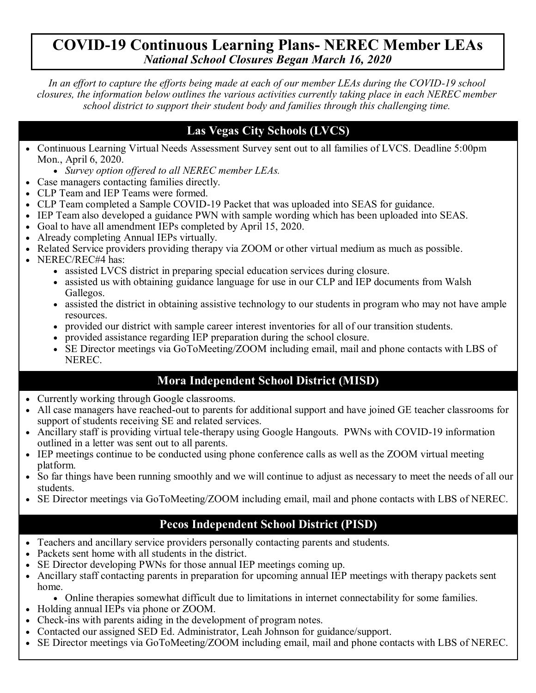## **COVID-19 Continuous Learning Plans- NEREC Member LEAs** *National School Closures Began March 16, 2020*

*In an effort to capture the efforts being made at each of our member LEAs during the COVID-19 school closures, the information below outlines the various activities currently taking place in each NEREC member school district to support their student body and families through this challenging time.*

## **Las Vegas City Schools (LVCS)**

- Continuous Learning Virtual Needs Assessment Survey sent out to all families of LVCS. Deadline 5:00pm Mon., April 6, 2020.
	- *Survey option offered to all NEREC member LEAs.*
- Case managers contacting families directly.
- CLP Team and IEP Teams were formed.
- CLP Team completed a Sample COVID-19 Packet that was uploaded into SEAS for guidance.
- IEP Team also developed a guidance PWN with sample wording which has been uploaded into SEAS.
- Goal to have all amendment IEPs completed by April 15, 2020.
- Already completing Annual IEPs virtually.
- Related Service providers providing therapy via ZOOM or other virtual medium as much as possible.
- NEREC/REC#4 has:
	- assisted LVCS district in preparing special education services during closure.
	- assisted us with obtaining guidance language for use in our CLP and IEP documents from Walsh Gallegos.
	- assisted the district in obtaining assistive technology to our students in program who may not have ample resources.
	- provided our district with sample career interest inventories for all of our transition students.
	- provided assistance regarding IEP preparation during the school closure.
	- SE Director meetings via GoToMeeting/ZOOM including email, mail and phone contacts with LBS of NEREC.

## **Mora Independent School District (MISD)**

- Currently working through Google classrooms.
- All case managers have reached-out to parents for additional support and have joined GE teacher classrooms for support of students receiving SE and related services.
- Ancillary staff is providing virtual tele-therapy using Google Hangouts. PWNs with COVID-19 information outlined in a letter was sent out to all parents.
- IEP meetings continue to be conducted using phone conference calls as well as the ZOOM virtual meeting platform.
- So far things have been running smoothly and we will continue to adjust as necessary to meet the needs of all our students.
- SE Director meetings via GoToMeeting/ZOOM including email, mail and phone contacts with LBS of NEREC.

## **Pecos Independent School District (PISD)**

- Teachers and ancillary service providers personally contacting parents and students.
- Packets sent home with all students in the district.
- SE Director developing PWNs for those annual IEP meetings coming up.
- Ancillary staff contacting parents in preparation for upcoming annual IEP meetings with therapy packets sent home.
	- Online therapies somewhat difficult due to limitations in internet connectability for some families.
- Holding annual IEPs via phone or ZOOM.
- Check-ins with parents aiding in the development of program notes.
- Contacted our assigned SED Ed. Administrator, Leah Johnson for guidance/support.
- SE Director meetings via GoToMeeting/ZOOM including email, mail and phone contacts with LBS of NEREC.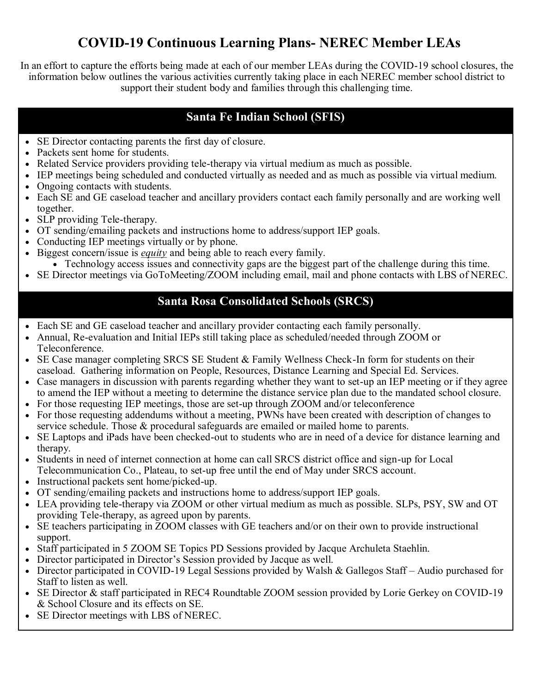# **COVID-19 Continuous Learning Plans- NEREC Member LEAs**

In an effort to capture the efforts being made at each of our member LEAs during the COVID-19 school closures, the information below outlines the various activities currently taking place in each NEREC member school district to support their student body and families through this challenging time.

#### **Santa Fe Indian School (SFIS)**

- SE Director contacting parents the first day of closure.
- Packets sent home for students.
- Related Service providers providing tele-therapy via virtual medium as much as possible.
- IEP meetings being scheduled and conducted virtually as needed and as much as possible via virtual medium.
- Ongoing contacts with students.
- Each SE and GE caseload teacher and ancillary providers contact each family personally and are working well together.
- SLP providing Tele-therapy.
- OT sending/emailing packets and instructions home to address/support IEP goals.
- Conducting IEP meetings virtually or by phone.
- Biggest concern/issue is *equity* and being able to reach every family.
	- Technology access issues and connectivity gaps are the biggest part of the challenge during this time.
- SE Director meetings via GoToMeeting/ZOOM including email, mail and phone contacts with LBS of NEREC.

#### **Santa Rosa Consolidated Schools (SRCS)**

- Each SE and GE caseload teacher and ancillary provider contacting each family personally.
- Annual, Re-evaluation and Initial IEPs still taking place as scheduled/needed through ZOOM or Teleconference.
- SE Case manager completing SRCS SE Student & Family Wellness Check-In form for students on their caseload. Gathering information on People, Resources, Distance Learning and Special Ed. Services.
- Case managers in discussion with parents regarding whether they want to set-up an IEP meeting or if they agree to amend the IEP without a meeting to determine the distance service plan due to the mandated school closure.
- For those requesting IEP meetings, those are set-up through ZOOM and/or teleconference
- For those requesting addendums without a meeting, PWNs have been created with description of changes to service schedule. Those & procedural safeguards are emailed or mailed home to parents.
- SE Laptops and iPads have been checked-out to students who are in need of a device for distance learning and therapy.
- Students in need of internet connection at home can call SRCS district office and sign-up for Local Telecommunication Co., Plateau, to set-up free until the end of May under SRCS account.
- Instructional packets sent home/picked-up.
- OT sending/emailing packets and instructions home to address/support IEP goals.
- LEA providing tele-therapy via ZOOM or other virtual medium as much as possible. SLPs, PSY, SW and OT providing Tele-therapy, as agreed upon by parents.
- SE teachers participating in ZOOM classes with GE teachers and/or on their own to provide instructional support.
- Staff participated in 5 ZOOM SE Topics PD Sessions provided by Jacque Archuleta Staehlin.
- Director participated in Director's Session provided by Jacque as well.
- Director participated in COVID-19 Legal Sessions provided by Walsh & Gallegos Staff Audio purchased for Staff to listen as well.
- SE Director & staff participated in REC4 Roundtable ZOOM session provided by Lorie Gerkey on COVID-19 & School Closure and its effects on SE.
- SE Director meetings with LBS of NEREC.